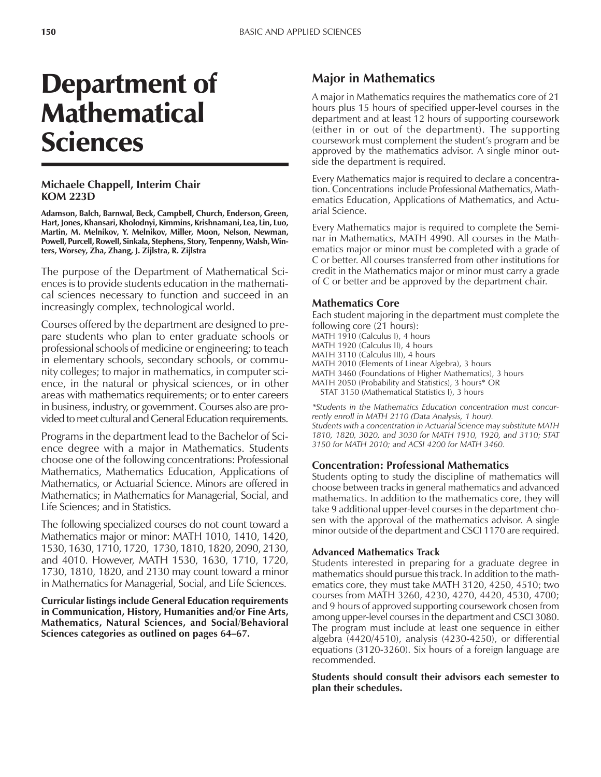# Department of **Mathematical** Sciences

# **Michaele Chappell, Interim Chair KOM 223D**

**Adamson, Balch, Barnwal, Beck, Campbell, Church, Enderson, Green, Hart, Jones, Khansari, Kholodnyi, Kimmins, Krishnamani, Lea, Lin, Luo, Martin, M. Melnikov, Y. Melnikov, Miller, Moon, Nelson, Newman, Powell, Purcell, Rowell, Sinkala, Stephens, Story, Tenpenny, Walsh, Winters, Worsey, Zha, Zhang, J. Zijlstra, R. Zijlstra**

The purpose of the Department of Mathematical Sciences is to provide students education in the mathematical sciences necessary to function and succeed in an increasingly complex, technological world.

Courses offered by the department are designed to prepare students who plan to enter graduate schools or professional schools of medicine or engineering; to teach in elementary schools, secondary schools, or community colleges; to major in mathematics, in computer science, in the natural or physical sciences, or in other areas with mathematics requirements; or to enter careers in business, industry, or government. Courses also are provided to meet cultural and General Education requirements.

Programs in the department lead to the Bachelor of Science degree with a major in Mathematics. Students choose one of the following concentrations: Professional Mathematics, Mathematics Education, Applications of Mathematics, or Actuarial Science. Minors are offered in Mathematics; in Mathematics for Managerial, Social, and Life Sciences; and in Statistics.

The following specialized courses do not count toward a Mathematics major or minor: MATH 1010, 1410, 1420, 1530, 1630, 1710, 1720, 1730, 1810, 1820, 2090, 2130, and 4010. However, MATH 1530, 1630, 1710, 1720, 1730, 1810, 1820, and 2130 may count toward a minor in Mathematics for Managerial, Social, and Life Sciences.

**Curricular listings include General Education requirements in Communication, History, Humanities and/or Fine Arts, Mathematics, Natural Sciences, and Social/Behavioral** Sciences categories as outlined on pages 64–67.

# **Major in Mathematics**

A major in Mathematics requires the mathematics core of 21 hours plus 15 hours of specified upper-level courses in the department and at least 12 hours of supporting coursework (either in or out of the department). The supporting coursework must complement the student's program and be approved by the mathematics advisor. A single minor outside the department is required.

Every Mathematics major is required to declare a concentration. Concentrations include Professional Mathematics, Mathematics Education, Applications of Mathematics, and Actuarial Science.

Every Mathematics major is required to complete the Seminar in Mathematics, MATH 4990. All courses in the Mathematics major or minor must be completed with a grade of C or better. All courses transferred from other institutions for credit in the Mathematics major or minor must carry a grade of C or better and be approved by the department chair.

# **Mathematics Core**

Each student majoring in the department must complete the following core (21 hours):

- MATH 1910 (Calculus I), 4 hours
- MATH 1920 (Calculus II), 4 hours
- MATH 3110 (Calculus III), 4 hours

MATH 2010 (Elements of Linear Algebra), 3 hours

MATH 3460 (Foundations of Higher Mathematics), 3 hours

MATH 2050 (Probability and Statistics), 3 hours\* OR

STAT 3150 (Mathematical Statistics I), 3 hours

*\*Students in the Mathematics Education concentration must concurrently enroll in MATH 2110 (Data Analysis, 1 hour). Students with a concentration in Actuarial Science may substitute MATH 1810, 1820, 3020, and 3030 for MATH 1910, 1920, and 3110; STAT 3150 for MATH 2010; and ACSI 4200 for MATH 3460.*

## **Concentration: Professional Mathematics**

Students opting to study the discipline of mathematics will choose between tracks in general mathematics and advanced mathematics. In addition to the mathematics core, they will take 9 additional upper-level courses in the department chosen with the approval of the mathematics advisor. A single minor outside of the department and CSCI 1170 are required.

## **Advanced Mathematics Track**

Students interested in preparing for a graduate degree in mathematics should pursue this track. In addition to the mathematics core, they must take MATH 3120, 4250, 4510; two courses from MATH 3260, 4230, 4270, 4420, 4530, 4700; and 9 hours of approved supporting coursework chosen from among upper-level courses in the department and CSCI 3080. The program must include at least one sequence in either algebra (4420/4510), analysis (4230-4250), or differential equations (3120-3260). Six hours of a foreign language are recommended.

**Students should consult their advisors each semester to plan their schedules.**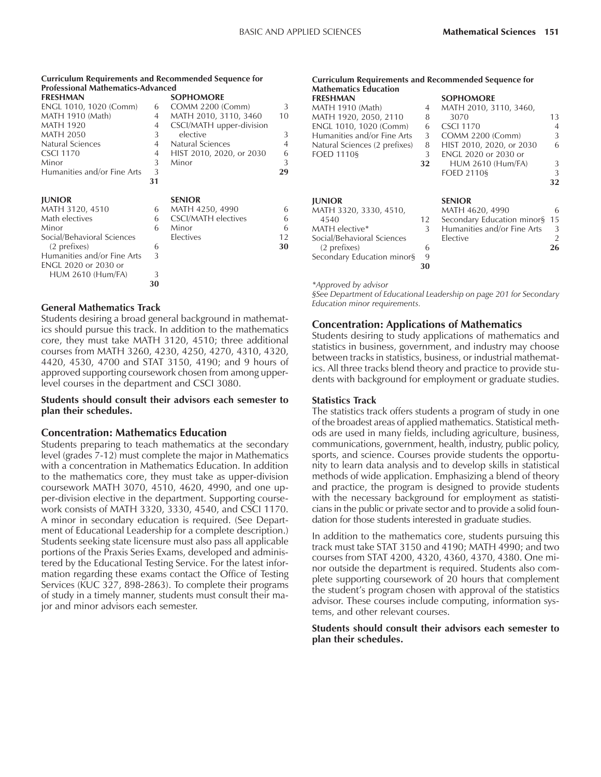#### **Curriculum Requirements and Recommended Sequence for Professional Mathematics-Advanced**

| <b>FRESHMAN</b>             |    | <b>SOPHOMORE</b>           |                |
|-----------------------------|----|----------------------------|----------------|
| ENGL 1010, 1020 (Comm)      | 6  | <b>COMM 2200 (Comm)</b>    | 3              |
| MATH 1910 (Math)            | 4  | MATH 2010, 3110, 3460      | 10             |
| <b>MATH 1920</b>            | 4  | CSCI/MATH upper-division   |                |
| <b>MATH 2050</b>            | 3  | elective                   | 3              |
| Natural Sciences            | 4  | Natural Sciences           | $\overline{4}$ |
| <b>CSCI 1170</b>            | 4  | HIST 2010, 2020, or 2030   | 6              |
| Minor                       | 3  | Minor                      | 3              |
| Humanities and/or Fine Arts | 3  |                            | 29             |
|                             | 31 |                            |                |
| <b>JUNIOR</b>               |    | <b>SENIOR</b>              |                |
| MATH 3120, 4510             | 6  | MATH 4250, 4990            | 6              |
| Math electives              | 6  | <b>CSCI/MATH</b> electives | 6              |
| Minor                       | 6  | Minor                      | 6              |
| Social/Behavioral Sciences  |    | Electives                  | 12             |
| (2 prefixes)                | 6  |                            | 30             |
| Humanities and/or Fine Arts | 3  |                            |                |
| ENGL 2020 or 2030 or        |    |                            |                |
| <b>HUM 2610 (Hum/FA)</b>    | 3  |                            |                |
|                             | 30 |                            |                |
|                             |    |                            |                |

#### **General Mathematics Track**

Students desiring a broad general background in mathematics should pursue this track. In addition to the mathematics core, they must take MATH 3120, 4510; three additional courses from MATH 3260, 4230, 4250, 4270, 4310, 4320, 4420, 4530, 4700 and STAT 3150, 4190; and 9 hours of approved supporting coursework chosen from among upperlevel courses in the department and CSCI 3080.

#### **Students should consult their advisors each semester to plan their schedules.**

#### **Concentration: Mathematics Education**

Students preparing to teach mathematics at the secondary level (grades 7-12) must complete the major in Mathematics with a concentration in Mathematics Education. In addition to the mathematics core, they must take as upper-division coursework MATH 3070, 4510, 4620, 4990, and one upper-division elective in the department. Supporting coursework consists of MATH 3320, 3330, 4540, and CSCI 1170. A minor in secondary education is required. (See Department of Educational Leadership for a complete description.) Students seeking state licensure must also pass all applicable portions of the Praxis Series Exams, developed and administered by the Educational Testing Service. For the latest information regarding these exams contact the Office of Testing Services (KUC 327, 898-2863). To complete their programs of study in a timely manner, students must consult their major and minor advisors each semester.

#### **Curriculum Requirements and Recommended Sequence for Mathematics Education**

| <b>FRESHMAN</b>               |    | <b>SOPHOMORE</b>            |    |
|-------------------------------|----|-----------------------------|----|
| MATH 1910 (Math)              | 4  | MATH 2010, 3110, 3460,      |    |
| MATH 1920, 2050, 2110         | 8  | 3070                        | 13 |
| ENGL 1010, 1020 (Comm)        | 6  | <b>CSCI 1170</b>            | 4  |
| Humanities and/or Fine Arts   | 3  | COMM 2200 (Comm)            | 3  |
| Natural Sciences (2 prefixes) | 8  | HIST 2010, 2020, or 2030    | 6  |
| <b>FOED 11109</b>             | 3  | <b>ENGL 2020 or 2030 or</b> |    |
|                               | 32 | <b>HUM 2610 (Hum/FA)</b>    | 3  |
|                               |    | <b>FOED 2110§</b>           | 3  |
|                               |    |                             | 32 |
|                               |    |                             |    |
| <b>JUNIOR</b>                 |    | <b>SENIOR</b>               |    |
| MATH 3320, 3330, 4510,        |    | MATH 4620, 4990             | 6  |
| 4540                          | 12 | Secondary Education minor§  | 15 |
| MATH elective*                | 3  | Humanities and/or Fine Arts | 3  |
| Social/Behavioral Sciences    |    | Elective                    |    |
| (2 prefixes)                  | 6  |                             | 26 |
| Secondary Education minor§    | 9  |                             |    |
|                               | 30 |                             |    |

*\*Approved by advisor*

*ßSee Department of Educational Leadership on page 201 for Secondary Education minor requirements.*

## **Concentration: Applications of Mathematics**

Students desiring to study applications of mathematics and statistics in business, government, and industry may choose between tracks in statistics, business, or industrial mathematics. All three tracks blend theory and practice to provide students with background for employment or graduate studies.

#### **Statistics Track**

The statistics track offers students a program of study in one of the broadest areas of applied mathematics. Statistical methods are used in many fields, including agriculture, business, communications, government, health, industry, public policy, sports, and science. Courses provide students the opportunity to learn data analysis and to develop skills in statistical methods of wide application. Emphasizing a blend of theory and practice, the program is designed to provide students with the necessary background for employment as statisticians in the public or private sector and to provide a solid foundation for those students interested in graduate studies.

In addition to the mathematics core, students pursuing this track must take STAT 3150 and 4190; MATH 4990; and two courses from STAT 4200, 4320, 4360, 4370, 4380. One minor outside the department is required. Students also complete supporting coursework of 20 hours that complement the student's program chosen with approval of the statistics advisor. These courses include computing, information systems, and other relevant courses.

#### **Students should consult their advisors each semester to plan their schedules.**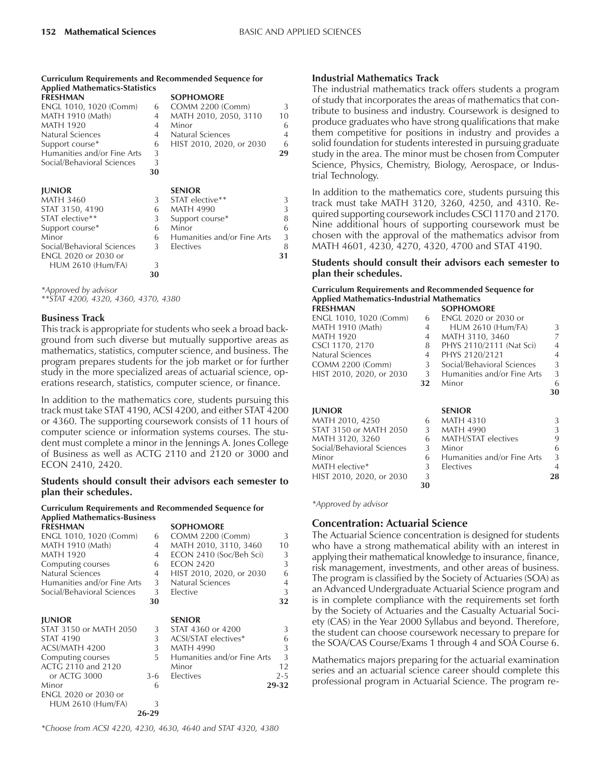#### **Curriculum Requirements and Recommended Sequence for Applied Mathematics-Statistics**

| Applied Mathematics-Statistics |    |                             |                |
|--------------------------------|----|-----------------------------|----------------|
| <b>FRESHMAN</b>                |    | <b>SOPHOMORE</b>            |                |
| ENGL 1010, 1020 (Comm)         | 6  | <b>COMM 2200 (Comm)</b>     | 3              |
| MATH 1910 (Math)               | 4  | MATH 2010, 2050, 3110       | 10             |
| <b>MATH 1920</b>               | 4  | Minor                       | 6              |
| Natural Sciences               | 4  | Natural Sciences            | $\overline{4}$ |
| Support course*                | 6  | HIST 2010, 2020, or 2030    | 6              |
| Humanities and/or Fine Arts    | 3  |                             | 29             |
| Social/Behavioral Sciences     | 3  |                             |                |
|                                | 30 |                             |                |
| <b>JUNIOR</b>                  |    | <b>SENIOR</b>               |                |
| <b>MATH 3460</b>               | 3  | STAT elective**             | 3              |
| STAT 3150, 4190                | 6  | <b>MATH 4990</b>            | 3              |
| STAT elective**                | 3  | Support course*             | 8              |
| Support course*                | 6  | Minor                       | 6              |
| Minor                          | 6  | Humanities and/or Fine Arts | 3              |
| Social/Behavioral Sciences     | 3  | <b>Electives</b>            | 8              |
| ENGL 2020 or 2030 or           |    |                             | 31             |
| HUM 2610 (Hum/FA)              | 3  |                             |                |
|                                | 30 |                             |                |

*\*Approved by advisor*

*\*\*STAT 4200, 4320, 4360, 4370, 4380*

#### **Business Track**

This track is appropriate for students who seek a broad background from such diverse but mutually supportive areas as mathematics, statistics, computer science, and business. The program prepares students for the job market or for further study in the more specialized areas of actuarial science, operations research, statistics, computer science, or finance.

In addition to the mathematics core, students pursuing this track must take STAT 4190, ACSI 4200, and either STAT 4200 or 4360. The supporting coursework consists of 11 hours of computer science or information systems courses. The student must complete a minor in the Jennings A. Jones College of Business as well as ACTG 2110 and 2120 or 3000 and ECON 2410, 2420.

#### **Students should consult their advisors each semester to plan their schedules.**

#### **Curriculum Requirements and Recommended Sequence for Applied Mathematics-Business**

| <b>FRESHMAN</b>             |                | <b>SOPHOMORE</b>            |         |
|-----------------------------|----------------|-----------------------------|---------|
| ENGL 1010, 1020 (Comm)      | 6              | <b>COMM 2200 (Comm)</b>     | 3       |
| MATH 1910 (Math)            | 4              | MATH 2010, 3110, 3460       | 10      |
| MATH 1920                   | 4              | ECON 2410 (Soc/Beh Sci)     | 3       |
| Computing courses           | 6              | <b>ECON 2420</b>            | 3       |
| Natural Sciences            | 4              | HIST 2010, 2020, or 2030    | 6       |
| Humanities and/or Fine Arts | 3              | Natural Sciences            | 4       |
| Social/Behavioral Sciences  | 3 <sup>7</sup> | Elective                    | 3       |
|                             | 30             |                             | 32      |
| <b>JUNIOR</b>               |                | <b>SENIOR</b>               |         |
| STAT 3150 or MATH 2050      | 3              | STAT 4360 or 4200           | 3       |
| <b>STAT 4190</b>            | 3              | ACSI/STAT electives*        | 6       |
| ACSI/MATH 4200              | 3              | <b>MATH 4990</b>            | 3       |
| Computing courses           | 5              | Humanities and/or Fine Arts | 3       |
| ACTG 2110 and 2120          |                | Minor                       | 12      |
| or ACTG 3000                | $3-6$          | Electives                   | $2 - 5$ |
| Minor                       | 6              |                             | 29-32   |
| <b>ENGL 2020 or 2030 or</b> |                |                             |         |
| HUM 2610 (Hum/FA)           | 3              |                             |         |
|                             | 26-29          |                             |         |

*\*Choose from ACSI 4220, 4230, 4630, 4640 and STAT 4320, 4380*

### **Industrial Mathematics Track**

The industrial mathematics track offers students a program of study that incorporates the areas of mathematics that contribute to business and industry. Coursework is designed to produce graduates who have strong qualifications that make them competitive for positions in industry and provides a solid foundation for students interested in pursuing graduate study in the area. The minor must be chosen from Computer Science, Physics, Chemistry, Biology, Aerospace, or Industrial Technology.

In addition to the mathematics core, students pursuing this track must take MATH 3120, 3260, 4250, and 4310. Required supporting coursework includes CSCI 1170 and 2170. Nine additional hours of supporting coursework must be chosen with the approval of the mathematics advisor from MATH 4601, 4230, 4270, 4320, 4700 and STAT 4190.

#### **Students should consult their advisors each semester to plan their schedules.**

#### **Curriculum Requirements and Recommended Sequence for Applied Mathematics-Industrial Mathematics FRESHMAN**

| ENGL 1010, 1020 (Comm)   | 6              | ENGL 2020 or 2030 or        |               |
|--------------------------|----------------|-----------------------------|---------------|
| MATH 1910 (Math)         | $\overline{4}$ | <b>HUM 2610 (Hum/FA)</b>    | 3             |
| MATH 1920                | $\overline{4}$ | MATH 3110, 3460             | 7             |
| CSCI 1170, 2170          | 8              | PHYS 2110/2111 (Nat Sci)    | 4             |
| Natural Sciences         | $\overline{4}$ | PHYS 2120/2121              | 4             |
| COMM 2200 (Comm)         | 3              | Social/Behavioral Sciences  | $\mathcal{L}$ |
| HIST 2010, 2020, or 2030 | 3              | Humanities and/or Fine Arts | 3             |
|                          | 32             | Minor                       | 6             |
|                          |                |                             | 30            |
|                          |                |                             |               |

| <b>IUNIOR</b>              |    | <b>SENIOR</b>               |    |
|----------------------------|----|-----------------------------|----|
| MATH 2010, 4250            | 6  | <b>MATH 4310</b>            |    |
| STAT 3150 or MATH 2050     | 3  | <b>MATH 4990</b>            |    |
| MATH 3120, 3260            | 6  | MATH/STAT electives         | 9  |
| Social/Behavioral Sciences | 3  | Minor                       | 6  |
| Minor                      | 6  | Humanities and/or Fine Arts | 3  |
| MATH elective*             | 3  | Electives                   |    |
| HIST 2010, 2020, or 2030   | 3  |                             | 28 |
|                            | 30 |                             |    |

*\*Approved by advisor*

# **Concentration: Actuarial Science**

The Actuarial Science concentration is designed for students who have a strong mathematical ability with an interest in applying their mathematical knowledge to insurance, finance, risk management, investments, and other areas of business. The program is classified by the Society of Actuaries (SOA) as an Advanced Undergraduate Actuarial Science program and is in complete compliance with the requirements set forth by the Society of Actuaries and the Casualty Actuarial Society (CAS) in the Year 2000 Syllabus and beyond. Therefore, the student can choose coursework necessary to prepare for the SOA/CAS Course/Exams 1 through 4 and SOA Course 6.

Mathematics majors preparing for the actuarial examination series and an actuarial science career should complete this professional program in Actuarial Science. The program re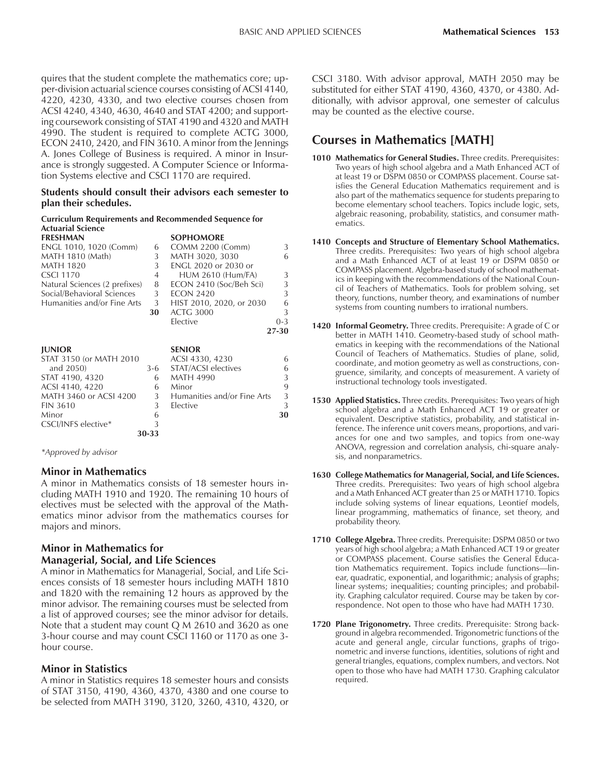quires that the student complete the mathematics core; upper-division actuarial science courses consisting of ACSI 4140, 4220, 4230, 4330, and two elective courses chosen from ACSI 4240, 4340, 4630, 4640 and STAT 4200; and supporting coursework consisting of STAT 4190 and 4320 and MATH 4990. The student is required to complete ACTG 3000, ECON 2410, 2420, and FIN 3610. A minor from the Jennings A. Jones College of Business is required. A minor in Insurance is strongly suggested. A Computer Science or Information Systems elective and CSCI 1170 are required.

#### **Students should consult their advisors each semester to plan their schedules.**

#### **Curriculum Requirements and Recommended Sequence for Actuarial Science**

| <b>FRESHMAN</b>               |                | <b>SOPHOMORE</b>            |         |
|-------------------------------|----------------|-----------------------------|---------|
| ENGL 1010, 1020 (Comm)        | 6              | <b>COMM 2200 (Comm)</b>     | 3       |
| MATH 1810 (Math)              | 3              | MATH 3020, 3030             | 6       |
| <b>MATH 1820</b>              | 3              | <b>ENGL 2020 or 2030 or</b> |         |
| <b>CSCI 1170</b>              | $\overline{4}$ | <b>HUM 2610 (Hum/FA)</b>    | 3       |
| Natural Sciences (2 prefixes) | 8              | ECON 2410 (Soc/Beh Sci)     | 3       |
| Social/Behavioral Sciences    | 3              | <b>ECON 2420</b>            | 3       |
| Humanities and/or Fine Arts   | 3              | HIST 2010, 2020, or 2030    | 6       |
|                               | 30             | <b>ACTG 3000</b>            | 3       |
|                               |                | Elective                    | $0 - 3$ |
|                               |                |                             | 27-30   |
|                               |                |                             |         |
|                               |                |                             |         |
| <b>JUNIOR</b>                 |                | <b>SENIOR</b>               |         |
| STAT 3150 (or MATH 2010       |                | ACSI 4330, 4230             | 6       |
| and 2050)                     | $3-6$          | STAT/ACSI electives         | 6       |
| STAT 4190, 4320               | 6              | <b>MATH 4990</b>            | 3       |
| ACSI 4140, 4220               | 6              | Minor                       | 9       |
| MATH 3460 or ACSI 4200        | 3              | Humanities and/or Fine Arts | 3       |
| <b>FIN 3610</b>               | 3              | Elective                    | 3       |
| Minor                         | 6              |                             | 30      |
| CSCI/INFS elective*           | 3              |                             |         |

*\*Approved by advisor*

# **Minor in Mathematics**

A minor in Mathematics consists of 18 semester hours including MATH 1910 and 1920. The remaining 10 hours of electives must be selected with the approval of the Mathematics minor advisor from the mathematics courses for majors and minors.

# **Minor in Mathematics for Managerial, Social, and Life Sciences**

A minor in Mathematics for Managerial, Social, and Life Sciences consists of 18 semester hours including MATH 1810 and 1820 with the remaining 12 hours as approved by the minor advisor. The remaining courses must be selected from a list of approved courses; see the minor advisor for details. Note that a student may count Q M 2610 and 3620 as one 3-hour course and may count CSCI 1160 or 1170 as one 3 hour course.

## **Minor in Statistics**

A minor in Statistics requires 18 semester hours and consists of STAT 3150, 4190, 4360, 4370, 4380 and one course to be selected from MATH 3190, 3120, 3260, 4310, 4320, or

CSCI 3180. With advisor approval, MATH 2050 may be substituted for either STAT 4190, 4360, 4370, or 4380. Additionally, with advisor approval, one semester of calculus may be counted as the elective course.

# **Courses in Mathematics [MATH]**

- **1010 Mathematics for General Studies.** Three credits. Prerequisites: Two years of high school algebra and a Math Enhanced ACT of at least 19 or DSPM 0850 or COMPASS placement. Course satisfies the General Education Mathematics requirement and is also part of the mathematics sequence for students preparing to become elementary school teachers. Topics include logic, sets, algebraic reasoning, probability, statistics, and consumer mathematics.
- **1410 Concepts and Structure of Elementary School Mathematics.** Three credits. Prerequisites: Two years of high school algebra and a Math Enhanced ACT of at least 19 or DSPM 0850 or COMPASS placement. Algebra-based study of school mathematics in keeping with the recommendations of the National Council of Teachers of Mathematics. Tools for problem solving, set theory, functions, number theory, and examinations of number systems from counting numbers to irrational numbers.
- **1420 Informal Geometry.** Three credits. Prerequisite: A grade of C or better in MATH 1410. Geometry-based study of school mathematics in keeping with the recommendations of the National Council of Teachers of Mathematics. Studies of plane, solid, coordinate, and motion geometry as well as constructions, congruence, similarity, and concepts of measurement. A variety of instructional technology tools investigated.
- **1530 Applied Statistics.** Three credits. Prerequisites: Two years of high school algebra and a Math Enhanced ACT 19 or greater or equivalent. Descriptive statistics, probability, and statistical inference. The inference unit covers means, proportions, and variances for one and two samples, and topics from one-way ANOVA, regression and correlation analysis, chi-square analysis, and nonparametrics.
- **1630 College Mathematics for Managerial, Social, and Life Sciences.** Three credits. Prerequisites: Two years of high school algebra and a Math Enhanced ACT greater than 25 or MATH 1710. Topics include solving systems of linear equations, Leontief models, linear programming, mathematics of finance, set theory, and probability theory.
- **1710 College Algebra.** Three credits. Prerequisite: DSPM 0850 or two years of high school algebra; a Math Enhanced ACT 19 or greater or COMPASS placement. Course satisfies the General Education Mathematics requirement. Topics include functions-linear, quadratic, exponential, and logarithmic; analysis of graphs; linear systems; inequalities; counting principles; and probability. Graphing calculator required. Course may be taken by correspondence. Not open to those who have had MATH 1730.
- **1720 Plane Trigonometry.** Three credits. Prerequisite: Strong background in algebra recommended. Trigonometric functions of the acute and general angle, circular functions, graphs of trigonometric and inverse functions, identities, solutions of right and general triangles, equations, complex numbers, and vectors. Not open to those who have had MATH 1730. Graphing calculator required.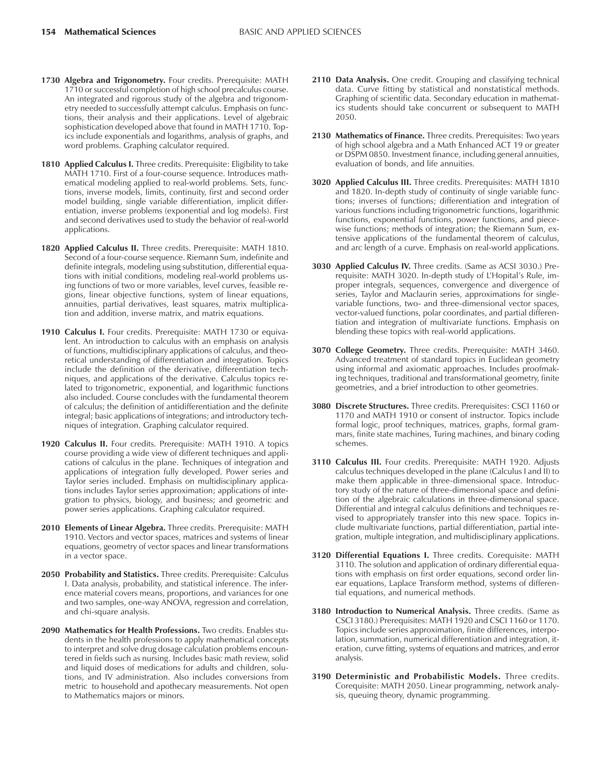- **1730 Algebra and Trigonometry.** Four credits. Prerequisite: MATH 1710 or successful completion of high school precalculus course. An integrated and rigorous study of the algebra and trigonometry needed to successfully attempt calculus. Emphasis on functions, their analysis and their applications. Level of algebraic sophistication developed above that found in MATH 1710. Topics include exponentials and logarithms, analysis of graphs, and word problems. Graphing calculator required.
- 1810 **Applied Calculus I.** Three credits. Prerequisite: Eligibility to take MATH 1710. First of a four-course sequence. Introduces mathematical modeling applied to real-world problems. Sets, functions, inverse models, limits, continuity, first and second order model building, single variable differentiation, implicit differentiation, inverse problems (exponential and log models). First and second derivatives used to study the behavior of real-world applications.
- **1820 Applied Calculus II.** Three credits. Prerequisite: MATH 1810. Second of a four-course sequence. Riemann Sum, indefinite and definite integrals, modeling using substitution, differential equations with initial conditions, modeling real-world problems using functions of two or more variables, level curves, feasible regions, linear objective functions, system of linear equations, annuities, partial derivatives, least squares, matrix multiplication and addition, inverse matrix, and matrix equations.
- **1910 Calculus I.** Four credits. Prerequisite: MATH 1730 or equivalent. An introduction to calculus with an emphasis on analysis of functions, multidisciplinary applications of calculus, and theoretical understanding of differentiation and integration. Topics include the definition of the derivative, differentiation techniques, and applications of the derivative. Calculus topics related to trigonometric, exponential, and logarithmic functions also included. Course concludes with the fundamental theorem of calculus; the definition of antidifferentiation and the definite integral; basic applications of integrations; and introductory techniques of integration. Graphing calculator required.
- **1920 Calculus II.** Four credits. Prerequisite: MATH 1910. A topics course providing a wide view of different techniques and applications of calculus in the plane. Techniques of integration and applications of integration fully developed. Power series and Taylor series included. Emphasis on multidisciplinary applications includes Taylor series approximation; applications of integration to physics, biology, and business; and geometric and power series applications. Graphing calculator required.
- **2010 Elements of Linear Algebra.** Three credits. Prerequisite: MATH 1910. Vectors and vector spaces, matrices and systems of linear equations, geometry of vector spaces and linear transformations in a vector space.
- **2050 Probability and Statistics.** Three credits. Prerequisite: Calculus I. Data analysis, probability, and statistical inference. The inference material covers means, proportions, and variances for one and two samples, one-way ANOVA, regression and correlation, and chi-square analysis.
- **2090 Mathematics for Health Professions.** Two credits. Enables students in the health professions to apply mathematical concepts to interpret and solve drug dosage calculation problems encountered in fields such as nursing. Includes basic math review, solid and liquid doses of medications for adults and children, solutions, and IV administration. Also includes conversions from metric to household and apothecary measurements. Not open to Mathematics majors or minors.
- 2110 Data Analysis. One credit. Grouping and classifying technical data. Curve fitting by statistical and nonstatistical methods. Graphing of scientific data. Secondary education in mathematics students should take concurrent or subsequent to MATH 2050.
- **2130 Mathematics of Finance.** Three credits. Prerequisites: Two years of high school algebra and a Math Enhanced ACT 19 or greater or DSPM 0850. Investment finance, including general annuities, evaluation of bonds, and life annuities.
- **3020 Applied Calculus III.** Three credits. Prerequisites: MATH 1810 and 1820. In-depth study of continuity of single variable functions; inverses of functions; differentiation and integration of various functions including trigonometric functions, logarithmic functions, exponential functions, power functions, and piecewise functions; methods of integration; the Riemann Sum, extensive applications of the fundamental theorem of calculus, and arc length of a curve. Emphasis on real-world applications.
- **3030 Applied Calculus IV.** Three credits. (Same as ACSI 3030.) Prerequisite: MATH 3020. In-depth study of L'Hopital's Rule, improper integrals, sequences, convergence and divergence of series, Taylor and Maclaurin series, approximations for singlevariable functions, two- and three-dimensional vector spaces, vector-valued functions, polar coordinates, and partial differentiation and integration of multivariate functions. Emphasis on blending these topics with real-world applications.
- **3070 College Geometry.** Three credits. Prerequisite: MATH 3460. Advanced treatment of standard topics in Euclidean geometry using informal and axiomatic approaches. Includes proofmaking techniques, traditional and transformational geometry, finite geometries, and a brief introduction to other geometries.
- **3080 Discrete Structures.** Three credits. Prerequisites: CSCI 1160 or 1170 and MATH 1910 or consent of instructor. Topics include formal logic, proof techniques, matrices, graphs, formal grammars, finite state machines, Turing machines, and binary coding schemes.
- **3110 Calculus III.** Four credits. Prerequisite: MATH 1920. Adjusts calculus techniques developed in the plane (Calculus I and II) to make them applicable in three-dimensional space. Introductory study of the nature of three-dimensional space and definition of the algebraic calculations in three-dimensional space. Differential and integral calculus definitions and techniques revised to appropriately transfer into this new space. Topics include multivariate functions, partial differentiation, partial integration, multiple integration, and multidisciplinary applications.
- **3120 Differential Equations I.** Three credits. Corequisite: MATH 3110. The solution and application of ordinary differential equations with emphasis on first order equations, second order linear equations, Laplace Transform method, systems of differential equations, and numerical methods.
- **3180 Introduction to Numerical Analysis.** Three credits. (Same as CSCI 3180.) Prerequisites: MATH 1920 and CSCI 1160 or 1170. Topics include series approximation, finite differences, interpolation, summation, numerical differentiation and integration, iteration, curve fitting, systems of equations and matrices, and error analysis.
- **3190 Deterministic and Probabilistic Models.** Three credits. Corequisite: MATH 2050. Linear programming, network analysis, queuing theory, dynamic programming.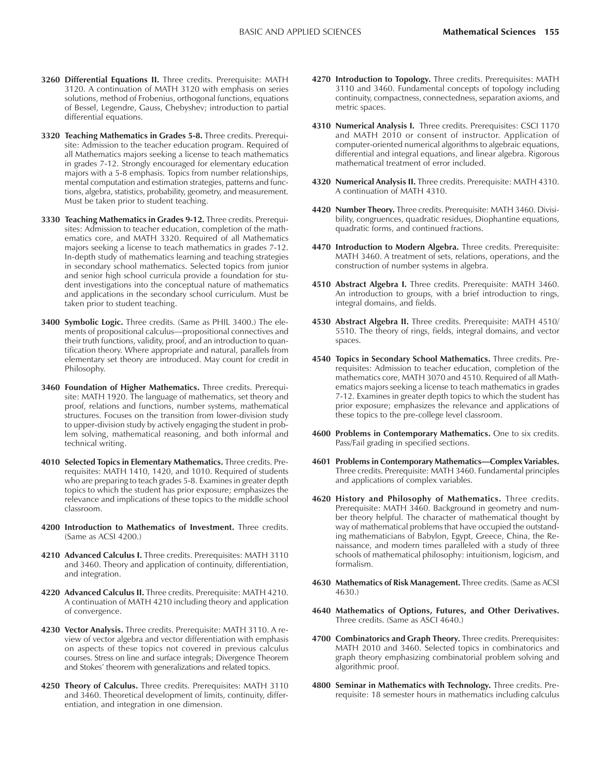- **3260 Differential Equations II.** Three credits. Prerequisite: MATH 3120. A continuation of MATH 3120 with emphasis on series solutions, method of Frobenius, orthogonal functions, equations of Bessel, Legendre, Gauss, Chebyshev; introduction to partial differential equations.
- **3320 Teaching Mathematics in Grades 5-8.** Three credits. Prerequisite: Admission to the teacher education program. Required of all Mathematics majors seeking a license to teach mathematics in grades 7-12. Strongly encouraged for elementary education majors with a 5-8 emphasis. Topics from number relationships, mental computation and estimation strategies, patterns and functions, algebra, statistics, probability, geometry, and measurement. Must be taken prior to student teaching.
- **3330 Teaching Mathematics in Grades 9-12.** Three credits. Prerequisites: Admission to teacher education, completion of the mathematics core, and MATH 3320. Required of all Mathematics majors seeking a license to teach mathematics in grades 7-12. In-depth study of mathematics learning and teaching strategies in secondary school mathematics. Selected topics from junior and senior high school curricula provide a foundation for student investigations into the conceptual nature of mathematics and applications in the secondary school curriculum. Must be taken prior to student teaching.
- **3400 Symbolic Logic.** Three credits. (Same as PHIL 3400.) The elements of propositional calculus—propositional connectives and their truth functions, validity, proof, and an introduction to quantification theory. Where appropriate and natural, parallels from elementary set theory are introduced. May count for credit in Philosophy.
- **3460 Foundation of Higher Mathematics.** Three credits. Prerequisite: MATH 1920. The language of mathematics, set theory and proof, relations and functions, number systems, mathematical structures. Focuses on the transition from lower-division study to upper-division study by actively engaging the student in problem solving, mathematical reasoning, and both informal and technical writing.
- **4010 Selected Topics in Elementary Mathematics.** Three credits. Prerequisites: MATH 1410, 1420, and 1010. Required of students who are preparing to teach grades 5-8. Examines in greater depth topics to which the student has prior exposure; emphasizes the relevance and implications of these topics to the middle school classroom.
- **4200 Introduction to Mathematics of Investment.** Three credits. (Same as ACSI 4200.)
- **4210 Advanced Calculus I.** Three credits. Prerequisites: MATH 3110 and 3460. Theory and application of continuity, differentiation, and integration.
- **4220 Advanced Calculus II.** Three credits. Prerequisite: MATH 4210. A continuation of MATH 4210 including theory and application of convergence.
- **4230 Vector Analysis.** Three credits. Prerequisite: MATH 3110. A review of vector algebra and vector differentiation with emphasis on aspects of these topics not covered in previous calculus courses. Stress on line and surface integrals; Divergence Theorem and Stokes' theorem with generalizations and related topics.
- **4250 Theory of Calculus.** Three credits. Prerequisites: MATH 3110 and 3460. Theoretical development of limits, continuity, differentiation, and integration in one dimension.
- **4270 Introduction to Topology.** Three credits. Prerequisites: MATH 3110 and 3460. Fundamental concepts of topology including continuity, compactness, connectedness, separation axioms, and metric spaces.
- **4310 Numerical Analysis I.** Three credits. Prerequisites: CSCI 1170 and MATH 2010 or consent of instructor. Application of computer-oriented numerical algorithms to algebraic equations, differential and integral equations, and linear algebra. Rigorous mathematical treatment of error included.
- **4320 Numerical Analysis II.** Three credits. Prerequisite: MATH 4310. A continuation of MATH 4310.
- **4420 Number Theory.** Three credits. Prerequisite: MATH 3460. Divisibility, congruences, quadratic residues, Diophantine equations, quadratic forms, and continued fractions.
- **4470 Introduction to Modern Algebra.** Three credits. Prerequisite: MATH 3460. A treatment of sets, relations, operations, and the construction of number systems in algebra.
- **4510 Abstract Algebra I.** Three credits. Prerequisite: MATH 3460. An introduction to groups, with a brief introduction to rings, integral domains, and fields.
- **4530 Abstract Algebra II.** Three credits. Prerequisite: MATH 4510/ 5510. The theory of rings, fields, integral domains, and vector spaces.
- **4540 Topics in Secondary School Mathematics.** Three credits. Prerequisites: Admission to teacher education, completion of the mathematics core, MATH 3070 and 4510. Required of all Mathematics majors seeking a license to teach mathematics in grades 7-12. Examines in greater depth topics to which the student has prior exposure; emphasizes the relevance and applications of these topics to the pre-college level classroom.
- **4600 Problems in Contemporary Mathematics.** One to six credits. Pass/Fail grading in specified sections.
- **4601 Problems in Contemporary Mathematics-Complex Variables.** Three credits. Prerequisite: MATH 3460. Fundamental principles and applications of complex variables.
- **4620 History and Philosophy of Mathematics.** Three credits. Prerequisite: MATH 3460. Background in geometry and number theory helpful. The character of mathematical thought by way of mathematical problems that have occupied the outstanding mathematicians of Babylon, Egypt, Greece, China, the Renaissance, and modern times paralleled with a study of three schools of mathematical philosophy: intuitionism, logicism, and formalism.
- **4630 Mathematics of Risk Management.** Three credits. (Same as ACSI 4630.)
- **4640 Mathematics of Options, Futures, and Other Derivatives.** Three credits. (Same as ASCI 4640.)
- **4700 Combinatorics and Graph Theory.** Three credits. Prerequisites: MATH 2010 and 3460. Selected topics in combinatorics and graph theory emphasizing combinatorial problem solving and algorithmic proof.
- **4800 Seminar in Mathematics with Technology.** Three credits. Prerequisite: 18 semester hours in mathematics including calculus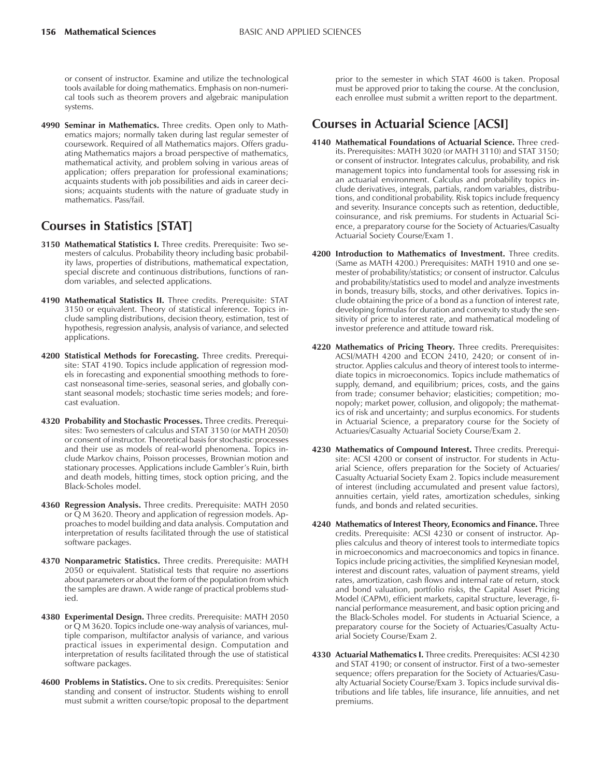or consent of instructor. Examine and utilize the technological tools available for doing mathematics. Emphasis on non-numerical tools such as theorem provers and algebraic manipulation systems.

**4990 Seminar in Mathematics.** Three credits. Open only to Mathematics majors; normally taken during last regular semester of coursework. Required of all Mathematics majors. Offers graduating Mathematics majors a broad perspective of mathematics, mathematical activity, and problem solving in various areas of application; offers preparation for professional examinations; acquaints students with job possibilities and aids in career decisions; acquaints students with the nature of graduate study in mathematics. Pass/fail.

# **Courses in Statistics [STAT]**

- **3150 Mathematical Statistics I.** Three credits. Prerequisite: Two semesters of calculus. Probability theory including basic probability laws, properties of distributions, mathematical expectation, special discrete and continuous distributions, functions of random variables, and selected applications.
- **4190 Mathematical Statistics II.** Three credits. Prerequisite: STAT 3150 or equivalent. Theory of statistical inference. Topics include sampling distributions, decision theory, estimation, test of hypothesis, regression analysis, analysis of variance, and selected applications.
- **4200 Statistical Methods for Forecasting.** Three credits. Prerequisite: STAT 4190. Topics include application of regression models in forecasting and exponential smoothing methods to forecast nonseasonal time-series, seasonal series, and globally constant seasonal models; stochastic time series models; and forecast evaluation.
- **4320 Probability and Stochastic Processes.** Three credits. Prerequisites: Two semesters of calculus and STAT 3150 (or MATH 2050) or consent of instructor. Theoretical basis for stochastic processes and their use as models of real-world phenomena. Topics include Markov chains, Poisson processes, Brownian motion and stationary processes. Applications include Gambler's Ruin, birth and death models, hitting times, stock option pricing, and the Black-Scholes model.
- **4360 Regression Analysis.** Three credits. Prerequisite: MATH 2050 or Q M 3620. Theory and application of regression models. Approaches to model building and data analysis. Computation and interpretation of results facilitated through the use of statistical software packages.
- **4370 Nonparametric Statistics.** Three credits. Prerequisite: MATH 2050 or equivalent. Statistical tests that require no assertions about parameters or about the form of the population from which the samples are drawn. A wide range of practical problems studied.
- **4380 Experimental Design.** Three credits. Prerequisite: MATH 2050 or Q M 3620. Topics include one-way analysis of variances, multiple comparison, multifactor analysis of variance, and various practical issues in experimental design. Computation and interpretation of results facilitated through the use of statistical software packages.
- **4600 Problems in Statistics.** One to six credits. Prerequisites: Senior standing and consent of instructor. Students wishing to enroll must submit a written course/topic proposal to the department

prior to the semester in which STAT 4600 is taken. Proposal must be approved prior to taking the course. At the conclusion, each enrollee must submit a written report to the department.

# **Courses in Actuarial Science [ACSI]**

- **4140 Mathematical Foundations of Actuarial Science.** Three credits. Prerequisites: MATH 3020 (or MATH 3110) and STAT 3150; or consent of instructor. Integrates calculus, probability, and risk management topics into fundamental tools for assessing risk in an actuarial environment. Calculus and probability topics include derivatives, integrals, partials, random variables, distributions, and conditional probability. Risk topics include frequency and severity. Insurance concepts such as retention, deductible, coinsurance, and risk premiums. For students in Actuarial Science, a preparatory course for the Society of Actuaries/Casualty Actuarial Society Course/Exam 1.
- **4200 Introduction to Mathematics of Investment.** Three credits. (Same as MATH 4200.) Prerequisites: MATH 1910 and one semester of probability/statistics; or consent of instructor. Calculus and probability/statistics used to model and analyze investments in bonds, treasury bills, stocks, and other derivatives. Topics include obtaining the price of a bond as a function of interest rate, developing formulas for duration and convexity to study the sensitivity of price to interest rate, and mathematical modeling of investor preference and attitude toward risk.
- **4220 Mathematics of Pricing Theory.** Three credits. Prerequisites: ACSI/MATH 4200 and ECON 2410, 2420; or consent of instructor. Applies calculus and theory of interest tools to intermediate topics in microeconomics. Topics include mathematics of supply, demand, and equilibrium; prices, costs, and the gains from trade; consumer behavior; elasticities; competition; monopoly; market power, collusion, and oligopoly; the mathematics of risk and uncertainty; and surplus economics. For students in Actuarial Science, a preparatory course for the Society of Actuaries/Casualty Actuarial Society Course/Exam 2.
- **4230 Mathematics of Compound Interest.** Three credits. Prerequisite: ACSI 4200 or consent of instructor. For students in Actuarial Science, offers preparation for the Society of Actuaries/ Casualty Actuarial Society Exam 2. Topics include measurement of interest (including accumulated and present value factors), annuities certain, yield rates, amortization schedules, sinking funds, and bonds and related securities.
- **4240 Mathematics of Interest Theory, Economics and Finance.** Three credits. Prerequisite: ACSI 4230 or consent of instructor. Applies calculus and theory of interest tools to intermediate topics in microeconomics and macroeconomics and topics in finance. Topics include pricing activities, the simplified Keynesian model, interest and discount rates, valuation of payment streams, yield rates, amortization, cash flows and internal rate of return, stock and bond valuation, portfolio risks, the Capital Asset Pricing Model (CAPM), efficient markets, capital structure, leverage, financial performance measurement, and basic option pricing and the Black-Scholes model. For students in Actuarial Science, a preparatory course for the Society of Actuaries/Casualty Actuarial Society Course/Exam 2.
- **4330 Actuarial Mathematics I.** Three credits. Prerequisites: ACSI 4230 and STAT 4190; or consent of instructor. First of a two-semester sequence; offers preparation for the Society of Actuaries/Casualty Actuarial Society Course/Exam 3. Topics include survival distributions and life tables, life insurance, life annuities, and net premiums.